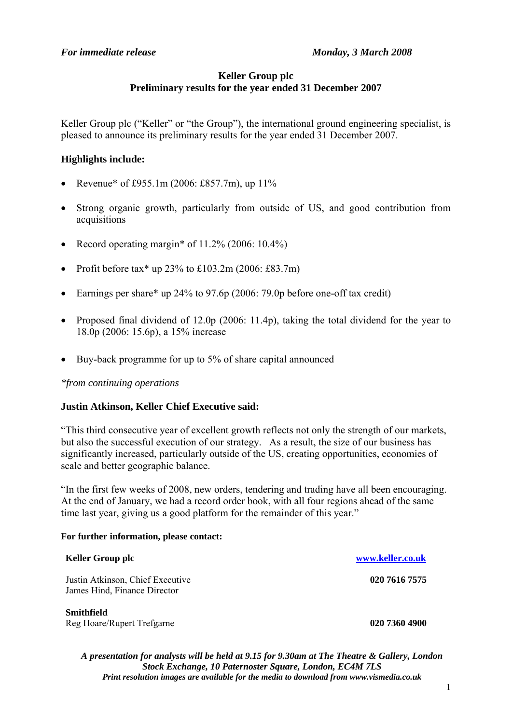# **Keller Group plc Preliminary results for the year ended 31 December 2007**

Keller Group plc ("Keller" or "the Group"), the international ground engineering specialist, is pleased to announce its preliminary results for the year ended 31 December 2007.

## **Highlights include:**

- Revenue\* of £955.1m (2006: £857.7m), up  $11\%$
- Strong organic growth, particularly from outside of US, and good contribution from acquisitions
- Record operating margin\* of  $11.2\%$  (2006: 10.4%)
- Profit before tax\* up  $23\%$  to £103.2m (2006: £83.7m)
- Earnings per share\* up 24% to 97.6p (2006: 79.0p before one-off tax credit)
- Proposed final dividend of 12.0p (2006: 11.4p), taking the total dividend for the year to 18.0p (2006: 15.6p), a 15% increase
- Buy-back programme for up to 5% of share capital announced

### *\*from continuing operations*

### **Justin Atkinson, Keller Chief Executive said:**

"This third consecutive year of excellent growth reflects not only the strength of our markets, but also the successful execution of our strategy. As a result, the size of our business has significantly increased, particularly outside of the US, creating opportunities, economies of scale and better geographic balance.

"In the first few weeks of 2008, new orders, tendering and trading have all been encouraging. At the end of January, we had a record order book, with all four regions ahead of the same time last year, giving us a good platform for the remainder of this year."

#### **For further information, please contact:**

| <b>Keller Group plc</b>                                          | www.keller.co.uk |
|------------------------------------------------------------------|------------------|
| Justin Atkinson, Chief Executive<br>James Hind, Finance Director | 020 7616 7575    |
| Smithfield<br>Reg Hoare/Rupert Trefgarne                         | 020 7360 4900    |

*A presentation for analysts will be held at 9.15 for 9.30am at The Theatre & Gallery, London Stock Exchange, 10 Paternoster Square, London, EC4M 7LS Print resolution images are available for the media to download from www.vismedia.co.uk*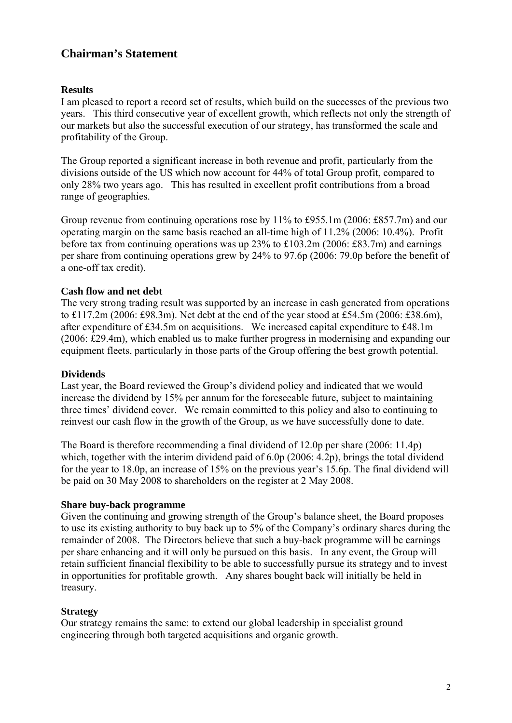# **Chairman's Statement**

## **Results**

I am pleased to report a record set of results, which build on the successes of the previous two years. This third consecutive year of excellent growth, which reflects not only the strength of our markets but also the successful execution of our strategy, has transformed the scale and profitability of the Group.

The Group reported a significant increase in both revenue and profit, particularly from the divisions outside of the US which now account for 44% of total Group profit, compared to only 28% two years ago. This has resulted in excellent profit contributions from a broad range of geographies.

Group revenue from continuing operations rose by 11% to £955.1m (2006: £857.7m) and our operating margin on the same basis reached an all-time high of 11.2% (2006: 10.4%). Profit before tax from continuing operations was up 23% to £103.2m (2006: £83.7m) and earnings per share from continuing operations grew by 24% to 97.6p (2006: 79.0p before the benefit of a one-off tax credit).

## **Cash flow and net debt**

The very strong trading result was supported by an increase in cash generated from operations to £117.2m (2006: £98.3m). Net debt at the end of the year stood at £54.5m (2006: £38.6m), after expenditure of £34.5m on acquisitions. We increased capital expenditure to £48.1m (2006: £29.4m), which enabled us to make further progress in modernising and expanding our equipment fleets, particularly in those parts of the Group offering the best growth potential.

### **Dividends**

Last year, the Board reviewed the Group's dividend policy and indicated that we would increase the dividend by 15% per annum for the foreseeable future, subject to maintaining three times' dividend cover. We remain committed to this policy and also to continuing to reinvest our cash flow in the growth of the Group, as we have successfully done to date.

The Board is therefore recommending a final dividend of 12.0p per share (2006: 11.4p) which, together with the interim dividend paid of 6.0p (2006: 4.2p), brings the total dividend for the year to 18.0p, an increase of 15% on the previous year's 15.6p. The final dividend will be paid on 30 May 2008 to shareholders on the register at 2 May 2008.

### **Share buy-back programme**

Given the continuing and growing strength of the Group's balance sheet, the Board proposes to use its existing authority to buy back up to 5% of the Company's ordinary shares during the remainder of 2008. The Directors believe that such a buy-back programme will be earnings per share enhancing and it will only be pursued on this basis. In any event, the Group will retain sufficient financial flexibility to be able to successfully pursue its strategy and to invest in opportunities for profitable growth. Any shares bought back will initially be held in treasury.

### **Strategy**

Our strategy remains the same: to extend our global leadership in specialist ground engineering through both targeted acquisitions and organic growth.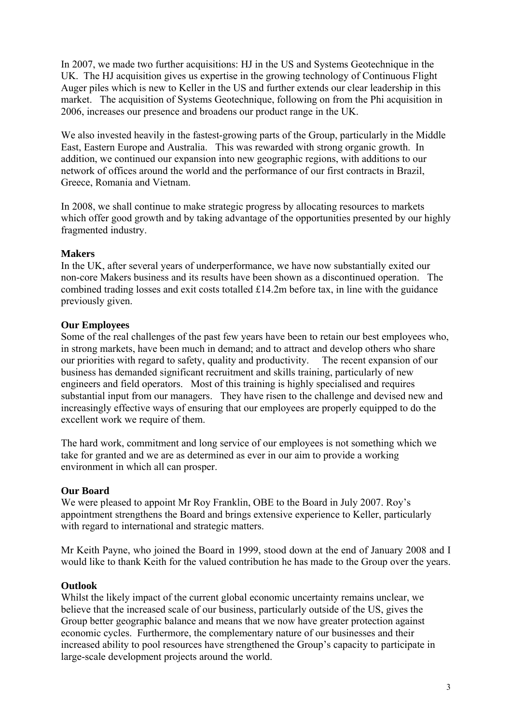In 2007, we made two further acquisitions: HJ in the US and Systems Geotechnique in the UK. The HJ acquisition gives us expertise in the growing technology of Continuous Flight Auger piles which is new to Keller in the US and further extends our clear leadership in this market. The acquisition of Systems Geotechnique, following on from the Phi acquisition in 2006, increases our presence and broadens our product range in the UK.

We also invested heavily in the fastest-growing parts of the Group, particularly in the Middle East, Eastern Europe and Australia. This was rewarded with strong organic growth. In addition, we continued our expansion into new geographic regions, with additions to our network of offices around the world and the performance of our first contracts in Brazil, Greece, Romania and Vietnam.

In 2008, we shall continue to make strategic progress by allocating resources to markets which offer good growth and by taking advantage of the opportunities presented by our highly fragmented industry.

## **Makers**

In the UK, after several years of underperformance, we have now substantially exited our non-core Makers business and its results have been shown as a discontinued operation. The combined trading losses and exit costs totalled £14.2m before tax, in line with the guidance previously given.

## **Our Employees**

Some of the real challenges of the past few years have been to retain our best employees who, in strong markets, have been much in demand; and to attract and develop others who share our priorities with regard to safety, quality and productivity. The recent expansion of our business has demanded significant recruitment and skills training, particularly of new engineers and field operators. Most of this training is highly specialised and requires substantial input from our managers. They have risen to the challenge and devised new and increasingly effective ways of ensuring that our employees are properly equipped to do the excellent work we require of them.

The hard work, commitment and long service of our employees is not something which we take for granted and we are as determined as ever in our aim to provide a working environment in which all can prosper.

## **Our Board**

We were pleased to appoint Mr Roy Franklin, OBE to the Board in July 2007. Roy's appointment strengthens the Board and brings extensive experience to Keller, particularly with regard to international and strategic matters.

Mr Keith Payne, who joined the Board in 1999, stood down at the end of January 2008 and I would like to thank Keith for the valued contribution he has made to the Group over the years.

# **Outlook**

Whilst the likely impact of the current global economic uncertainty remains unclear, we believe that the increased scale of our business, particularly outside of the US, gives the Group better geographic balance and means that we now have greater protection against economic cycles. Furthermore, the complementary nature of our businesses and their increased ability to pool resources have strengthened the Group's capacity to participate in large-scale development projects around the world.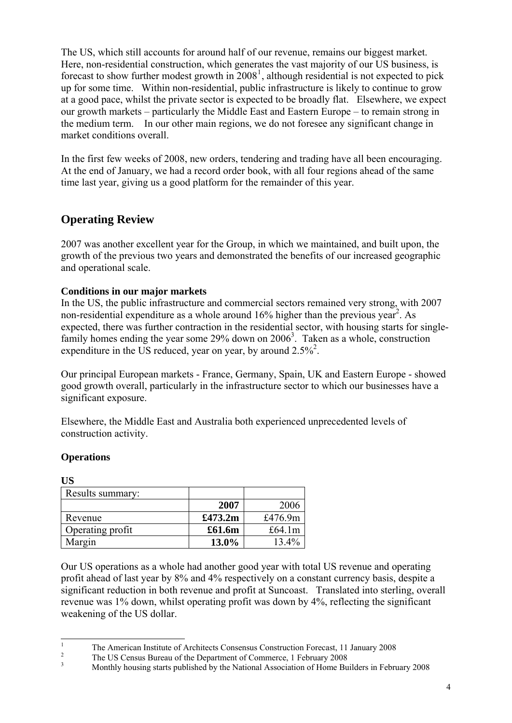The US, which still accounts for around half of our revenue, remains our biggest market. Here, non-residential construction, which generates the vast majority of our US business, is forecast to show further modest growth in  $2008<sup>1</sup>$  $2008<sup>1</sup>$  $2008<sup>1</sup>$ , although residential is not expected to pick up for some time. Within non-residential, public infrastructure is likely to continue to grow at a good pace, whilst the private sector is expected to be broadly flat. Elsewhere, we expect our growth markets – particularly the Middle East and Eastern Europe – to remain strong in the medium term. In our other main regions, we do not foresee any significant change in market conditions overall.

In the first few weeks of 2008, new orders, tendering and trading have all been encouraging. At the end of January, we had a record order book, with all four regions ahead of the same time last year, giving us a good platform for the remainder of this year.

# **Operating Review**

2007 was another excellent year for the Group, in which we maintained, and built upon, the growth of the previous two years and demonstrated the benefits of our increased geographic and operational scale.

## **Conditions in our major markets**

In the US, the public infrastructure and commercial sectors remained very strong, with 2007 non-residential expenditure as a whole around  $16\%$  higher than the previous year<sup>2</sup>. As expected, there was further contraction in the residential sector, with housing starts for singlefamily homes ending the year some  $29\%$  down on  $2006<sup>3</sup>$ . Taken as a whole, construction expenditure in the US reduced, year on year, by around  $2.5\%$ <sup>2</sup>.

Our principal European markets - France, Germany, Spain, UK and Eastern Europe - showed good growth overall, particularly in the infrastructure sector to which our businesses have a significant exposure.

Elsewhere, the Middle East and Australia both experienced unprecedented levels of construction activity.

## **Operations**

| <b>US</b>        |         |           |
|------------------|---------|-----------|
| Results summary: |         |           |
|                  | 2007    | 2006      |
| Revenue          | £473.2m | £476.9m   |
| Operating profit | £61.6m  | £64.1 $m$ |
| Margin           | 13.0%   | 13.4%     |

Our US operations as a whole had another good year with total US revenue and operating profit ahead of last year by 8% and 4% respectively on a constant currency basis, despite a significant reduction in both revenue and profit at Suncoast. Translated into sterling, overall revenue was 1% down, whilst operating profit was down by 4%, reflecting the significant weakening of the US dollar.

 $\overline{1}$ 

<span id="page-3-0"></span><sup>&</sup>lt;sup>1</sup> The American Institute of Architects Consensus Construction Forecast, 11 January 2008<br><sup>2</sup> The US Census Bureau of the Department of Commerce, 1 February 2008<br><sup>3</sup> Monthly housing starts published by the National Associa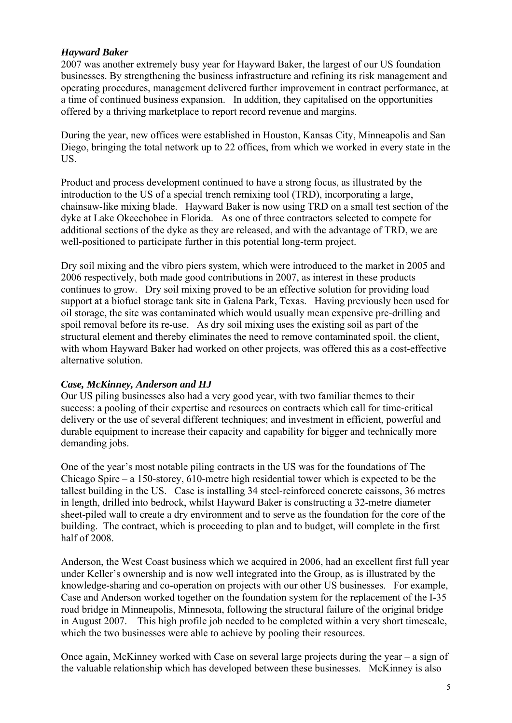## *Hayward Baker*

2007 was another extremely busy year for Hayward Baker, the largest of our US foundation businesses. By strengthening the business infrastructure and refining its risk management and operating procedures, management delivered further improvement in contract performance, at a time of continued business expansion. In addition, they capitalised on the opportunities offered by a thriving marketplace to report record revenue and margins.

During the year, new offices were established in Houston, Kansas City, Minneapolis and San Diego, bringing the total network up to 22 offices, from which we worked in every state in the US.

Product and process development continued to have a strong focus, as illustrated by the introduction to the US of a special trench remixing tool (TRD), incorporating a large, chainsaw-like mixing blade. Hayward Baker is now using TRD on a small test section of the dyke at Lake Okeechobee in Florida. As one of three contractors selected to compete for additional sections of the dyke as they are released, and with the advantage of TRD, we are well-positioned to participate further in this potential long-term project.

Dry soil mixing and the vibro piers system, which were introduced to the market in 2005 and 2006 respectively, both made good contributions in 2007, as interest in these products continues to grow. Dry soil mixing proved to be an effective solution for providing load support at a biofuel storage tank site in Galena Park, Texas. Having previously been used for oil storage, the site was contaminated which would usually mean expensive pre-drilling and spoil removal before its re-use. As dry soil mixing uses the existing soil as part of the structural element and thereby eliminates the need to remove contaminated spoil, the client, with whom Hayward Baker had worked on other projects, was offered this as a cost-effective alternative solution.

## *Case, McKinney, Anderson and HJ*

Our US piling businesses also had a very good year, with two familiar themes to their success: a pooling of their expertise and resources on contracts which call for time-critical delivery or the use of several different techniques; and investment in efficient, powerful and durable equipment to increase their capacity and capability for bigger and technically more demanding jobs.

One of the year's most notable piling contracts in the US was for the foundations of The Chicago Spire – a 150-storey, 610-metre high residential tower which is expected to be the tallest building in the US. Case is installing 34 steel-reinforced concrete caissons, 36 metres in length, drilled into bedrock, whilst Hayward Baker is constructing a 32-metre diameter sheet-piled wall to create a dry environment and to serve as the foundation for the core of the building. The contract, which is proceeding to plan and to budget, will complete in the first half of 2008.

Anderson, the West Coast business which we acquired in 2006, had an excellent first full year under Keller's ownership and is now well integrated into the Group, as is illustrated by the knowledge-sharing and co-operation on projects with our other US businesses. For example, Case and Anderson worked together on the foundation system for the replacement of the I-35 road bridge in Minneapolis, Minnesota, following the structural failure of the original bridge in August 2007. This high profile job needed to be completed within a very short timescale, which the two businesses were able to achieve by pooling their resources.

Once again, McKinney worked with Case on several large projects during the year – a sign of the valuable relationship which has developed between these businesses. McKinney is also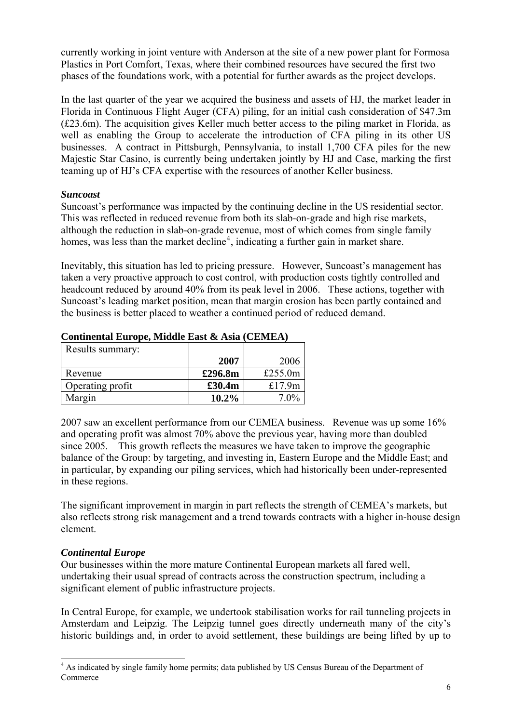currently working in joint venture with Anderson at the site of a new power plant for Formosa Plastics in Port Comfort, Texas, where their combined resources have secured the first two phases of the foundations work, with a potential for further awards as the project develops.

In the last quarter of the year we acquired the business and assets of HJ, the market leader in Florida in Continuous Flight Auger (CFA) piling, for an initial cash consideration of \$47.3m (£23.6m). The acquisition gives Keller much better access to the piling market in Florida, as well as enabling the Group to accelerate the introduction of CFA piling in its other US businesses. A contract in Pittsburgh, Pennsylvania, to install 1,700 CFA piles for the new Majestic Star Casino, is currently being undertaken jointly by HJ and Case, marking the first teaming up of HJ's CFA expertise with the resources of another Keller business.

## *Suncoast*

Suncoast's performance was impacted by the continuing decline in the US residential sector. This was reflected in reduced revenue from both its slab-on-grade and high rise markets, although the reduction in slab-on-grade revenue, most of which comes from single family homes, was less than the market decline<sup>[4](#page-5-0)</sup>, indicating a further gain in market share.

Inevitably, this situation has led to pricing pressure. However, Suncoast's management has taken a very proactive approach to cost control, with production costs tightly controlled and headcount reduced by around 40% from its peak level in 2006. These actions, together with Suncoast's leading market position, mean that margin erosion has been partly contained and the business is better placed to weather a continued period of reduced demand.

| Results summary: |          |            |
|------------------|----------|------------|
|                  | 2007     | 2006       |
| Revenue          | £296.8m  | £255.0 $m$ |
| Operating profit | £30.4m   | £17.9 $m$  |
| Margin           | $10.2\%$ | 7.0%       |

## **Continental Europe, Middle East & Asia (CEMEA)**

2007 saw an excellent performance from our CEMEA business. Revenue was up some 16% and operating profit was almost 70% above the previous year, having more than doubled since 2005. This growth reflects the measures we have taken to improve the geographic balance of the Group: by targeting, and investing in, Eastern Europe and the Middle East; and in particular, by expanding our piling services, which had historically been under-represented in these regions.

The significant improvement in margin in part reflects the strength of CEMEA's markets, but also reflects strong risk management and a trend towards contracts with a higher in-house design element.

# *Continental Europe*

Our businesses within the more mature Continental European markets all fared well, undertaking their usual spread of contracts across the construction spectrum, including a significant element of public infrastructure projects.

In Central Europe, for example, we undertook stabilisation works for rail tunneling projects in Amsterdam and Leipzig. The Leipzig tunnel goes directly underneath many of the city's historic buildings and, in order to avoid settlement, these buildings are being lifted by up to

<span id="page-5-0"></span><sup>&</sup>lt;sup>4</sup> As indicated by single family home permits; data published by US Census Bureau of the Department of Commerce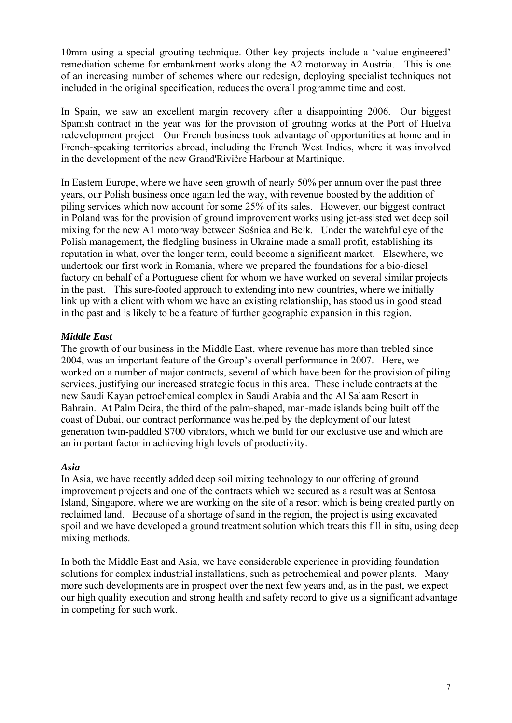10mm using a special grouting technique. Other key projects include a 'value engineered' remediation scheme for embankment works along the A2 motorway in Austria. This is one of an increasing number of schemes where our redesign, deploying specialist techniques not included in the original specification, reduces the overall programme time and cost.

In Spain, we saw an excellent margin recovery after a disappointing 2006. Our biggest Spanish contract in the year was for the provision of grouting works at the Port of Huelva redevelopment project Our French business took advantage of opportunities at home and in French-speaking territories abroad, including the French West Indies, where it was involved in the development of the new Grand'Rivière Harbour at Martinique.

In Eastern Europe, where we have seen growth of nearly 50% per annum over the past three years, our Polish business once again led the way, with revenue boosted by the addition of piling services which now account for some 25% of its sales. However, our biggest contract in Poland was for the provision of ground improvement works using jet-assisted wet deep soil mixing for the new A1 motorway between Sośnica and Bełk. Under the watchful eye of the Polish management, the fledgling business in Ukraine made a small profit, establishing its reputation in what, over the longer term, could become a significant market. Elsewhere, we undertook our first work in Romania, where we prepared the foundations for a bio-diesel factory on behalf of a Portuguese client for whom we have worked on several similar projects in the past. This sure-footed approach to extending into new countries, where we initially link up with a client with whom we have an existing relationship, has stood us in good stead in the past and is likely to be a feature of further geographic expansion in this region.

## *Middle East*

The growth of our business in the Middle East, where revenue has more than trebled since 2004, was an important feature of the Group's overall performance in 2007. Here, we worked on a number of major contracts, several of which have been for the provision of piling services, justifying our increased strategic focus in this area. These include contracts at the new Saudi Kayan petrochemical complex in Saudi Arabia and the Al Salaam Resort in Bahrain. At Palm Deira, the third of the palm-shaped, man-made islands being built off the coast of Dubai, our contract performance was helped by the deployment of our latest generation twin-paddled S700 vibrators, which we build for our exclusive use and which are an important factor in achieving high levels of productivity.

### *Asia*

In Asia, we have recently added deep soil mixing technology to our offering of ground improvement projects and one of the contracts which we secured as a result was at Sentosa Island, Singapore, where we are working on the site of a resort which is being created partly on reclaimed land. Because of a shortage of sand in the region, the project is using excavated spoil and we have developed a ground treatment solution which treats this fill in situ, using deep mixing methods.

In both the Middle East and Asia, we have considerable experience in providing foundation solutions for complex industrial installations, such as petrochemical and power plants. Many more such developments are in prospect over the next few years and, as in the past, we expect our high quality execution and strong health and safety record to give us a significant advantage in competing for such work.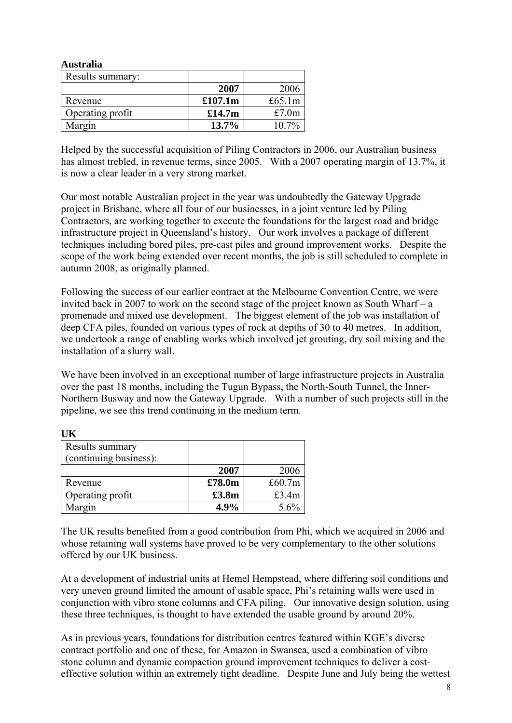| <b>Australia</b> |         |           |
|------------------|---------|-----------|
| Results summary: |         |           |
|                  | 2007    | 2006      |
| Revenue          | £107.1m | £65.1 $m$ |
| Operating profit | £14.7m  | £7.0m     |
| Margin           | 13.7%   | 10.7%     |

Helped by the successful acquisition of Piling Contractors in 2006, our Australian business has almost trebled, in revenue terms, since 2005. With a 2007 operating margin of 13.7%, it is now a clear leader in a very strong market.

Our most notable Australian project in the year was undoubtedly the Gateway Upgrade project in Brisbane, where all four of our businesses, in a joint venture led by Piling Contractors, are working together to execute the foundations for the largest road and bridge infrastructure project in Queensland's history. Our work involves a package of different techniques including bored piles, pre-cast piles and ground improvement works. Despite the scope of the work being extended over recent months, the job is still scheduled to complete in autumn 2008, as originally planned.

Following the success of our earlier contract at the Melbourne Convention Centre, we were invited back in 2007 to work on the second stage of the project known as South Wharf – a promenade and mixed use development. The biggest element of the job was installation of deep CFA piles, founded on various types of rock at depths of 30 to 40 metres. In addition, we undertook a range of enabling works which involved jet grouting, dry soil mixing and the installation of a slurry wall.

We have been involved in an exceptional number of large infrastructure projects in Australia over the past 18 months, including the Tugun Bypass, the North-South Tunnel, the Inner-Northern Busway and now the Gateway Upgrade. With a number of such projects still in the pipeline, we see this trend continuing in the medium term.

| Results summary        |        |        |
|------------------------|--------|--------|
| (continuing business): |        |        |
|                        | 2007   | 2006   |
| Revenue                | £78.0m | £60.7m |
| Operating profit       | £3.8m  | £3.4m  |
| Margin                 | 4.9%   | 5.6%   |

**UK** 

The UK results benefited from a good contribution from Phi, which we acquired in 2006 and whose retaining wall systems have proved to be very complementary to the other solutions offered by our UK business.

At a development of industrial units at Hemel Hempstead, where differing soil conditions and very uneven ground limited the amount of usable space, Phi's retaining walls were used in conjunction with vibro stone columns and CFA piling. Our innovative design solution, using these three techniques, is thought to have extended the usable ground by around 20%.

As in previous years, foundations for distribution centres featured within KGE's diverse contract portfolio and one of these, for Amazon in Swansea, used a combination of vibro stone column and dynamic compaction ground improvement techniques to deliver a costeffective solution within an extremely tight deadline. Despite June and July being the wettest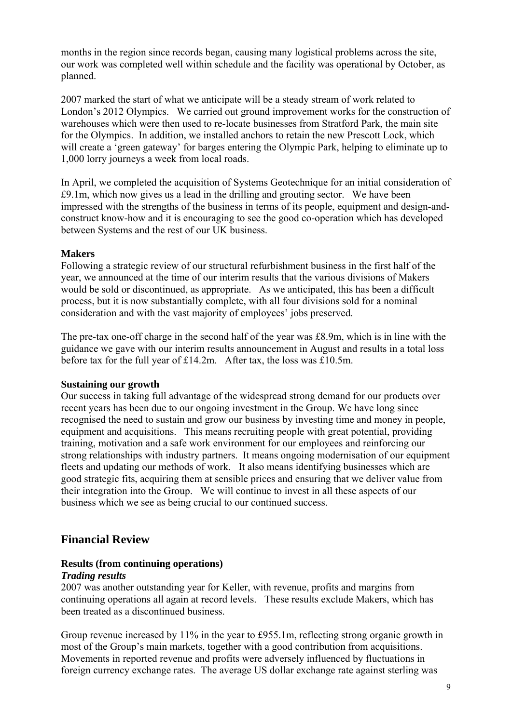months in the region since records began, causing many logistical problems across the site, our work was completed well within schedule and the facility was operational by October, as planned.

2007 marked the start of what we anticipate will be a steady stream of work related to London's 2012 Olympics. We carried out ground improvement works for the construction of warehouses which were then used to re-locate businesses from Stratford Park, the main site for the Olympics. In addition, we installed anchors to retain the new Prescott Lock, which will create a 'green gateway' for barges entering the Olympic Park, helping to eliminate up to 1,000 lorry journeys a week from local roads.

In April, we completed the acquisition of Systems Geotechnique for an initial consideration of £9.1m, which now gives us a lead in the drilling and grouting sector. We have been impressed with the strengths of the business in terms of its people, equipment and design-andconstruct know-how and it is encouraging to see the good co-operation which has developed between Systems and the rest of our UK business.

## **Makers**

Following a strategic review of our structural refurbishment business in the first half of the year, we announced at the time of our interim results that the various divisions of Makers would be sold or discontinued, as appropriate. As we anticipated, this has been a difficult process, but it is now substantially complete, with all four divisions sold for a nominal consideration and with the vast majority of employees' jobs preserved.

The pre-tax one-off charge in the second half of the year was £8.9m, which is in line with the guidance we gave with our interim results announcement in August and results in a total loss before tax for the full year of £14.2m. After tax, the loss was £10.5m.

## **Sustaining our growth**

Our success in taking full advantage of the widespread strong demand for our products over recent years has been due to our ongoing investment in the Group. We have long since recognised the need to sustain and grow our business by investing time and money in people, equipment and acquisitions. This means recruiting people with great potential, providing training, motivation and a safe work environment for our employees and reinforcing our strong relationships with industry partners. It means ongoing modernisation of our equipment fleets and updating our methods of work. It also means identifying businesses which are good strategic fits, acquiring them at sensible prices and ensuring that we deliver value from their integration into the Group. We will continue to invest in all these aspects of our business which we see as being crucial to our continued success.

# **Financial Review**

## **Results (from continuing operations)**

### *Trading results*

2007 was another outstanding year for Keller, with revenue, profits and margins from continuing operations all again at record levels. These results exclude Makers, which has been treated as a discontinued business.

Group revenue increased by 11% in the year to £955.1m, reflecting strong organic growth in most of the Group's main markets, together with a good contribution from acquisitions. Movements in reported revenue and profits were adversely influenced by fluctuations in foreign currency exchange rates. The average US dollar exchange rate against sterling was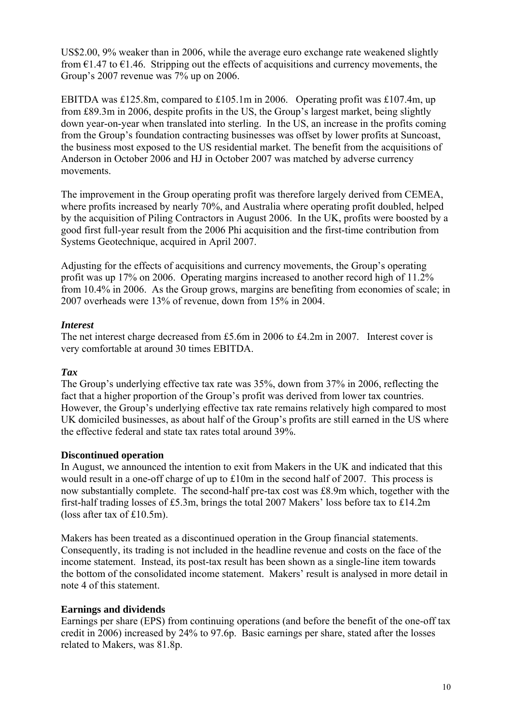US\$2.00, 9% weaker than in 2006, while the average euro exchange rate weakened slightly from  $\epsilon$ 1.47 to  $\epsilon$ 1.46. Stripping out the effects of acquisitions and currency movements, the Group's 2007 revenue was 7% up on 2006.

EBITDA was £125.8m, compared to £105.1m in 2006. Operating profit was £107.4m, up from £89.3m in 2006, despite profits in the US, the Group's largest market, being slightly down year-on-year when translated into sterling. In the US, an increase in the profits coming from the Group's foundation contracting businesses was offset by lower profits at Suncoast, the business most exposed to the US residential market. The benefit from the acquisitions of Anderson in October 2006 and HJ in October 2007 was matched by adverse currency movements.

The improvement in the Group operating profit was therefore largely derived from CEMEA, where profits increased by nearly 70%, and Australia where operating profit doubled, helped by the acquisition of Piling Contractors in August 2006. In the UK, profits were boosted by a good first full-year result from the 2006 Phi acquisition and the first-time contribution from Systems Geotechnique, acquired in April 2007.

Adjusting for the effects of acquisitions and currency movements, the Group's operating profit was up 17% on 2006. Operating margins increased to another record high of 11.2% from 10.4% in 2006. As the Group grows, margins are benefiting from economies of scale; in 2007 overheads were 13% of revenue, down from 15% in 2004.

## *Interest*

The net interest charge decreased from £5.6m in 2006 to £4.2m in 2007. Interest cover is very comfortable at around 30 times EBITDA.

## *Tax*

The Group's underlying effective tax rate was 35%, down from 37% in 2006, reflecting the fact that a higher proportion of the Group's profit was derived from lower tax countries. However, the Group's underlying effective tax rate remains relatively high compared to most UK domiciled businesses, as about half of the Group's profits are still earned in the US where the effective federal and state tax rates total around 39%.

## **Discontinued operation**

In August, we announced the intention to exit from Makers in the UK and indicated that this would result in a one-off charge of up to £10m in the second half of 2007. This process is now substantially complete. The second-half pre-tax cost was £8.9m which, together with the first-half trading losses of £5.3m, brings the total 2007 Makers' loss before tax to £14.2m (loss after tax of £10.5m).

Makers has been treated as a discontinued operation in the Group financial statements. Consequently, its trading is not included in the headline revenue and costs on the face of the income statement. Instead, its post-tax result has been shown as a single-line item towards the bottom of the consolidated income statement. Makers' result is analysed in more detail in note 4 of this statement.

### **Earnings and dividends**

Earnings per share (EPS) from continuing operations (and before the benefit of the one-off tax credit in 2006) increased by 24% to 97.6p. Basic earnings per share, stated after the losses related to Makers, was 81.8p.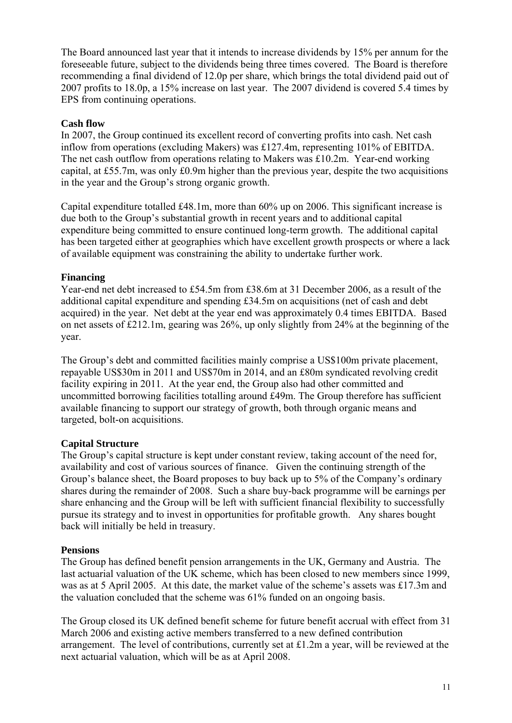The Board announced last year that it intends to increase dividends by 15% per annum for the foreseeable future, subject to the dividends being three times covered. The Board is therefore recommending a final dividend of 12.0p per share, which brings the total dividend paid out of 2007 profits to 18.0p, a 15% increase on last year. The 2007 dividend is covered 5.4 times by EPS from continuing operations.

### **Cash flow**

In 2007, the Group continued its excellent record of converting profits into cash. Net cash inflow from operations (excluding Makers) was £127.4m, representing 101% of EBITDA. The net cash outflow from operations relating to Makers was £10.2m. Year-end working capital, at £55.7m, was only £0.9m higher than the previous year, despite the two acquisitions in the year and the Group's strong organic growth.

Capital expenditure totalled £48.1m, more than 60% up on 2006. This significant increase is due both to the Group's substantial growth in recent years and to additional capital expenditure being committed to ensure continued long-term growth. The additional capital has been targeted either at geographies which have excellent growth prospects or where a lack of available equipment was constraining the ability to undertake further work.

## **Financing**

Year-end net debt increased to £54.5m from £38.6m at 31 December 2006, as a result of the additional capital expenditure and spending £34.5m on acquisitions (net of cash and debt acquired) in the year. Net debt at the year end was approximately 0.4 times EBITDA. Based on net assets of £212.1m, gearing was 26%, up only slightly from 24% at the beginning of the year.

The Group's debt and committed facilities mainly comprise a US\$100m private placement, repayable US\$30m in 2011 and US\$70m in 2014, and an £80m syndicated revolving credit facility expiring in 2011. At the year end, the Group also had other committed and uncommitted borrowing facilities totalling around £49m. The Group therefore has sufficient available financing to support our strategy of growth, both through organic means and targeted, bolt-on acquisitions.

### **Capital Structure**

The Group's capital structure is kept under constant review, taking account of the need for, availability and cost of various sources of finance. Given the continuing strength of the Group's balance sheet, the Board proposes to buy back up to 5% of the Company's ordinary shares during the remainder of 2008. Such a share buy-back programme will be earnings per share enhancing and the Group will be left with sufficient financial flexibility to successfully pursue its strategy and to invest in opportunities for profitable growth. Any shares bought back will initially be held in treasury.

### **Pensions**

The Group has defined benefit pension arrangements in the UK, Germany and Austria. The last actuarial valuation of the UK scheme, which has been closed to new members since 1999, was as at 5 April 2005. At this date, the market value of the scheme's assets was £17.3m and the valuation concluded that the scheme was 61% funded on an ongoing basis.

The Group closed its UK defined benefit scheme for future benefit accrual with effect from 31 March 2006 and existing active members transferred to a new defined contribution arrangement. The level of contributions, currently set at £1.2m a year, will be reviewed at the next actuarial valuation, which will be as at April 2008.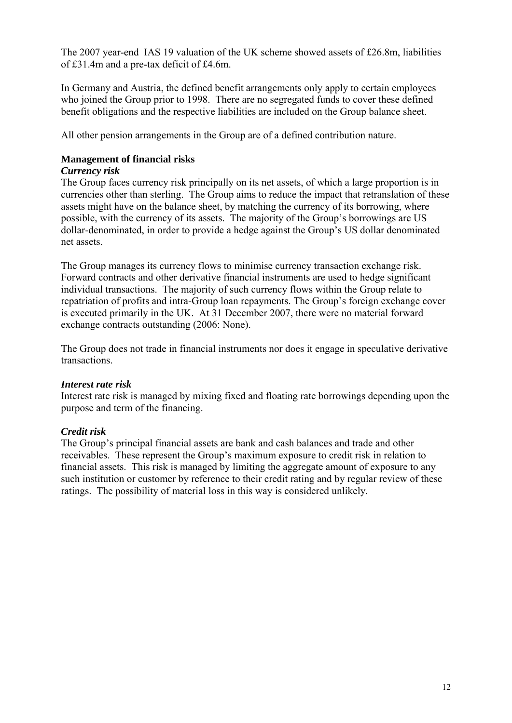The 2007 year-end IAS 19 valuation of the UK scheme showed assets of £26.8m, liabilities of £31.4m and a pre-tax deficit of £4.6m.

In Germany and Austria, the defined benefit arrangements only apply to certain employees who joined the Group prior to 1998. There are no segregated funds to cover these defined benefit obligations and the respective liabilities are included on the Group balance sheet.

All other pension arrangements in the Group are of a defined contribution nature.

## **Management of financial risks**

### *Currency risk*

The Group faces currency risk principally on its net assets, of which a large proportion is in currencies other than sterling. The Group aims to reduce the impact that retranslation of these assets might have on the balance sheet, by matching the currency of its borrowing, where possible, with the currency of its assets. The majority of the Group's borrowings are US dollar-denominated, in order to provide a hedge against the Group's US dollar denominated net assets.

The Group manages its currency flows to minimise currency transaction exchange risk. Forward contracts and other derivative financial instruments are used to hedge significant individual transactions. The majority of such currency flows within the Group relate to repatriation of profits and intra-Group loan repayments. The Group's foreign exchange cover is executed primarily in the UK. At 31 December 2007, there were no material forward exchange contracts outstanding (2006: None).

The Group does not trade in financial instruments nor does it engage in speculative derivative transactions.

### *Interest rate risk*

Interest rate risk is managed by mixing fixed and floating rate borrowings depending upon the purpose and term of the financing.

### *Credit risk*

The Group's principal financial assets are bank and cash balances and trade and other receivables. These represent the Group's maximum exposure to credit risk in relation to financial assets. This risk is managed by limiting the aggregate amount of exposure to any such institution or customer by reference to their credit rating and by regular review of these ratings. The possibility of material loss in this way is considered unlikely.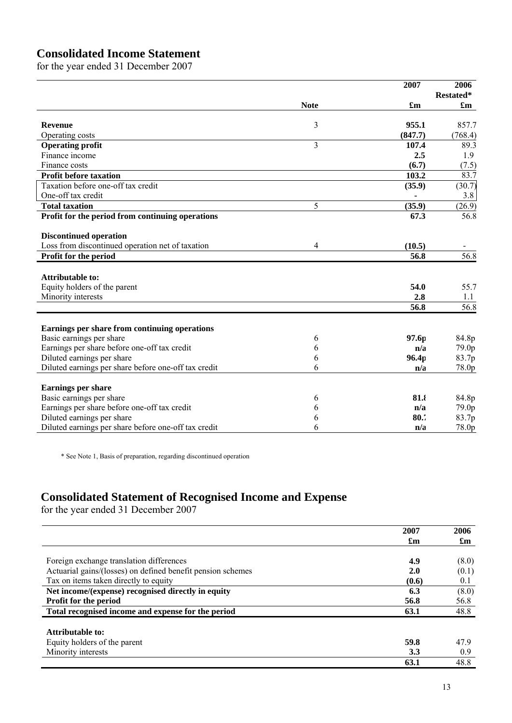# **Consolidated Income Statement**

for the year ended 31 December 2007

| Restated*<br><b>Note</b><br>£m<br>$\mathbf{f}_{\mathbf{m}}$<br>3<br>955.1<br><b>Revenue</b><br>Operating costs<br>(847.7)<br>3<br>89.3<br>107.4<br><b>Operating profit</b><br>Finance income<br>1.9<br>2.5<br>(6.7)<br>Finance costs<br>(7.5)<br>103.2<br><b>Profit before taxation</b><br>Taxation before one-off tax credit<br>(35.9)<br>One-off tax credit<br>3.8<br>$\qquad \qquad \blacksquare$<br>5<br><b>Total taxation</b><br>(35.9)<br>Profit for the period from continuing operations<br>67.3<br>56.8<br><b>Discontinued operation</b><br>Loss from discontinued operation net of taxation<br>(10.5)<br>4<br>56.8<br>Profit for the period<br>56.8<br><b>Attributable to:</b><br>Equity holders of the parent<br>54.0<br>2.8<br>Minority interests<br>1.1<br>56.8<br>56.8<br>Earnings per share from continuing operations<br>Basic earnings per share<br>84.8p<br>97.6p<br>6<br>Earnings per share before one-off tax credit<br>79.0p<br>n/a<br>6<br>Diluted earnings per share<br>96.4 <sub>p</sub><br>83.7p<br>6<br>Diluted earnings per share before one-off tax credit<br>6<br>78.0p<br>n/a |  | 2007 | 2006 |
|-------------------------------------------------------------------------------------------------------------------------------------------------------------------------------------------------------------------------------------------------------------------------------------------------------------------------------------------------------------------------------------------------------------------------------------------------------------------------------------------------------------------------------------------------------------------------------------------------------------------------------------------------------------------------------------------------------------------------------------------------------------------------------------------------------------------------------------------------------------------------------------------------------------------------------------------------------------------------------------------------------------------------------------------------------------------------------------------------------------|--|------|------|
|                                                                                                                                                                                                                                                                                                                                                                                                                                                                                                                                                                                                                                                                                                                                                                                                                                                                                                                                                                                                                                                                                                             |  |      |      |
| 857.7<br>(768.4)<br>83.7<br>(30.7)<br>(26.9)<br>55.7                                                                                                                                                                                                                                                                                                                                                                                                                                                                                                                                                                                                                                                                                                                                                                                                                                                                                                                                                                                                                                                        |  |      |      |
|                                                                                                                                                                                                                                                                                                                                                                                                                                                                                                                                                                                                                                                                                                                                                                                                                                                                                                                                                                                                                                                                                                             |  |      |      |
|                                                                                                                                                                                                                                                                                                                                                                                                                                                                                                                                                                                                                                                                                                                                                                                                                                                                                                                                                                                                                                                                                                             |  |      |      |
|                                                                                                                                                                                                                                                                                                                                                                                                                                                                                                                                                                                                                                                                                                                                                                                                                                                                                                                                                                                                                                                                                                             |  |      |      |
|                                                                                                                                                                                                                                                                                                                                                                                                                                                                                                                                                                                                                                                                                                                                                                                                                                                                                                                                                                                                                                                                                                             |  |      |      |
|                                                                                                                                                                                                                                                                                                                                                                                                                                                                                                                                                                                                                                                                                                                                                                                                                                                                                                                                                                                                                                                                                                             |  |      |      |
|                                                                                                                                                                                                                                                                                                                                                                                                                                                                                                                                                                                                                                                                                                                                                                                                                                                                                                                                                                                                                                                                                                             |  |      |      |
|                                                                                                                                                                                                                                                                                                                                                                                                                                                                                                                                                                                                                                                                                                                                                                                                                                                                                                                                                                                                                                                                                                             |  |      |      |
|                                                                                                                                                                                                                                                                                                                                                                                                                                                                                                                                                                                                                                                                                                                                                                                                                                                                                                                                                                                                                                                                                                             |  |      |      |
|                                                                                                                                                                                                                                                                                                                                                                                                                                                                                                                                                                                                                                                                                                                                                                                                                                                                                                                                                                                                                                                                                                             |  |      |      |
|                                                                                                                                                                                                                                                                                                                                                                                                                                                                                                                                                                                                                                                                                                                                                                                                                                                                                                                                                                                                                                                                                                             |  |      |      |
|                                                                                                                                                                                                                                                                                                                                                                                                                                                                                                                                                                                                                                                                                                                                                                                                                                                                                                                                                                                                                                                                                                             |  |      |      |
|                                                                                                                                                                                                                                                                                                                                                                                                                                                                                                                                                                                                                                                                                                                                                                                                                                                                                                                                                                                                                                                                                                             |  |      |      |
|                                                                                                                                                                                                                                                                                                                                                                                                                                                                                                                                                                                                                                                                                                                                                                                                                                                                                                                                                                                                                                                                                                             |  |      |      |
|                                                                                                                                                                                                                                                                                                                                                                                                                                                                                                                                                                                                                                                                                                                                                                                                                                                                                                                                                                                                                                                                                                             |  |      |      |
|                                                                                                                                                                                                                                                                                                                                                                                                                                                                                                                                                                                                                                                                                                                                                                                                                                                                                                                                                                                                                                                                                                             |  |      |      |
|                                                                                                                                                                                                                                                                                                                                                                                                                                                                                                                                                                                                                                                                                                                                                                                                                                                                                                                                                                                                                                                                                                             |  |      |      |
|                                                                                                                                                                                                                                                                                                                                                                                                                                                                                                                                                                                                                                                                                                                                                                                                                                                                                                                                                                                                                                                                                                             |  |      |      |
|                                                                                                                                                                                                                                                                                                                                                                                                                                                                                                                                                                                                                                                                                                                                                                                                                                                                                                                                                                                                                                                                                                             |  |      |      |
|                                                                                                                                                                                                                                                                                                                                                                                                                                                                                                                                                                                                                                                                                                                                                                                                                                                                                                                                                                                                                                                                                                             |  |      |      |
|                                                                                                                                                                                                                                                                                                                                                                                                                                                                                                                                                                                                                                                                                                                                                                                                                                                                                                                                                                                                                                                                                                             |  |      |      |
|                                                                                                                                                                                                                                                                                                                                                                                                                                                                                                                                                                                                                                                                                                                                                                                                                                                                                                                                                                                                                                                                                                             |  |      |      |
|                                                                                                                                                                                                                                                                                                                                                                                                                                                                                                                                                                                                                                                                                                                                                                                                                                                                                                                                                                                                                                                                                                             |  |      |      |
|                                                                                                                                                                                                                                                                                                                                                                                                                                                                                                                                                                                                                                                                                                                                                                                                                                                                                                                                                                                                                                                                                                             |  |      |      |
|                                                                                                                                                                                                                                                                                                                                                                                                                                                                                                                                                                                                                                                                                                                                                                                                                                                                                                                                                                                                                                                                                                             |  |      |      |
|                                                                                                                                                                                                                                                                                                                                                                                                                                                                                                                                                                                                                                                                                                                                                                                                                                                                                                                                                                                                                                                                                                             |  |      |      |
|                                                                                                                                                                                                                                                                                                                                                                                                                                                                                                                                                                                                                                                                                                                                                                                                                                                                                                                                                                                                                                                                                                             |  |      |      |
| <b>Earnings per share</b>                                                                                                                                                                                                                                                                                                                                                                                                                                                                                                                                                                                                                                                                                                                                                                                                                                                                                                                                                                                                                                                                                   |  |      |      |
| Basic earnings per share<br>81.8<br>84.8p<br>6                                                                                                                                                                                                                                                                                                                                                                                                                                                                                                                                                                                                                                                                                                                                                                                                                                                                                                                                                                                                                                                              |  |      |      |
| Earnings per share before one-off tax credit<br>79.0p<br>n/a<br>6                                                                                                                                                                                                                                                                                                                                                                                                                                                                                                                                                                                                                                                                                                                                                                                                                                                                                                                                                                                                                                           |  |      |      |
| Diluted earnings per share<br>80.7<br>83.7p<br>6                                                                                                                                                                                                                                                                                                                                                                                                                                                                                                                                                                                                                                                                                                                                                                                                                                                                                                                                                                                                                                                            |  |      |      |
| Diluted earnings per share before one-off tax credit<br>78.0p<br>6<br>n/a                                                                                                                                                                                                                                                                                                                                                                                                                                                                                                                                                                                                                                                                                                                                                                                                                                                                                                                                                                                                                                   |  |      |      |

\* See Note 1, Basis of preparation, regarding discontinued operation

## **Consolidated Statement of Recognised Income and Expense**

for the year ended 31 December 2007

|                                                             | 2007  | 2006                      |
|-------------------------------------------------------------|-------|---------------------------|
|                                                             | £m    | $\mathbf{f}_{\mathbf{m}}$ |
|                                                             |       |                           |
| Foreign exchange translation differences                    | 4.9   | (8.0)                     |
| Actuarial gains/(losses) on defined benefit pension schemes | 2.0   | (0.1)                     |
| Tax on items taken directly to equity                       | (0.6) | 0.1                       |
| Net income/(expense) recognised directly in equity          | 6.3   | (8.0)                     |
| <b>Profit for the period</b>                                | 56.8  | 56.8                      |
| Total recognised income and expense for the period          | 63.1  | 48.8                      |
|                                                             |       |                           |
| Attributable to:                                            |       |                           |
| Equity holders of the parent                                | 59.8  | 47.9                      |
| Minority interests                                          | 3.3   | 0.9                       |
|                                                             | 63.1  | 48.8                      |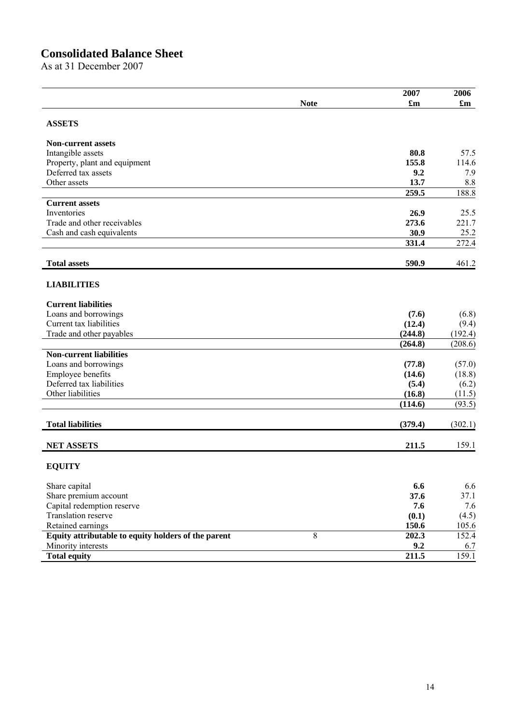# **Consolidated Balance Sheet**

As at 31 December 2007

|                                                      |             | 2007                      | 2006                      |
|------------------------------------------------------|-------------|---------------------------|---------------------------|
|                                                      | <b>Note</b> | $\mathbf{f}_{\mathbf{m}}$ | $\mathbf{f}_{\mathbf{m}}$ |
| <b>ASSETS</b>                                        |             |                           |                           |
|                                                      |             |                           |                           |
| <b>Non-current assets</b>                            |             |                           |                           |
| Intangible assets                                    |             | 80.8                      | 57.5                      |
| Property, plant and equipment<br>Deferred tax assets |             | 155.8<br>9.2              | 114.6<br>7.9              |
| Other assets                                         |             | 13.7                      | 8.8                       |
|                                                      |             | 259.5                     | 188.8                     |
| <b>Current assets</b>                                |             |                           |                           |
| Inventories                                          |             | 26.9                      | 25.5                      |
| Trade and other receivables                          |             | 273.6                     | 221.7                     |
| Cash and cash equivalents                            |             | 30.9                      | 25.2                      |
|                                                      |             | 331.4                     | 272.4                     |
| <b>Total assets</b>                                  |             | 590.9                     | 461.2                     |
|                                                      |             |                           |                           |
| <b>LIABILITIES</b>                                   |             |                           |                           |
| <b>Current liabilities</b>                           |             |                           |                           |
| Loans and borrowings                                 |             | (7.6)                     | (6.8)                     |
| Current tax liabilities                              |             | (12.4)                    | (9.4)                     |
| Trade and other payables                             |             | (244.8)                   | (192.4)                   |
|                                                      |             | (264.8)                   | (208.6)                   |
| <b>Non-current liabilities</b>                       |             |                           |                           |
| Loans and borrowings                                 |             | (77.8)                    | (57.0)                    |
| Employee benefits                                    |             | (14.6)                    | (18.8)                    |
| Deferred tax liabilities                             |             | (5.4)                     | (6.2)                     |
| Other liabilities                                    |             | (16.8)<br>(114.6)         | (11.5)<br>(93.5)          |
|                                                      |             |                           |                           |
| <b>Total liabilities</b>                             |             | (379.4)                   | (302.1)                   |
| <b>NET ASSETS</b>                                    |             | 211.5                     | 159.1                     |
|                                                      |             |                           |                           |
| <b>EQUITY</b>                                        |             |                           |                           |
| Share capital                                        |             | 6.6                       | 6.6                       |
| Share premium account                                |             | 37.6                      | 37.1                      |
| Capital redemption reserve                           |             | 7.6                       | 7.6                       |
| Translation reserve                                  |             | (0.1)                     | (4.5)                     |
| Retained earnings                                    |             | 150.6                     | 105.6                     |
| Equity attributable to equity holders of the parent  | 8           | 202.3                     | 152.4                     |
| Minority interests                                   |             | 9.2                       | 6.7                       |
| <b>Total equity</b>                                  |             | 211.5                     | 159.1                     |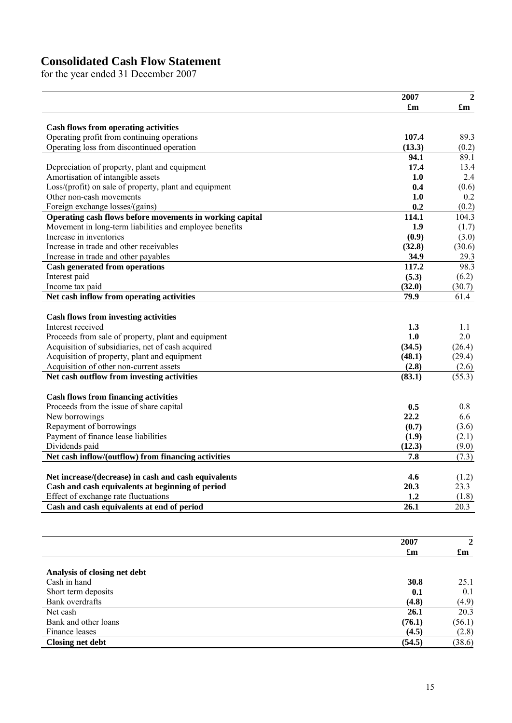# **Consolidated Cash Flow Statement**

for the year ended 31 December 2007

|                                                                                            | 2007                      | $\overline{2}$            |
|--------------------------------------------------------------------------------------------|---------------------------|---------------------------|
|                                                                                            | $\mathbf{f}_{\mathbf{m}}$ | $\mathbf{f}_{\mathbf{m}}$ |
|                                                                                            |                           |                           |
| <b>Cash flows from operating activities</b><br>Operating profit from continuing operations | 107.4                     | 89.3                      |
| Operating loss from discontinued operation                                                 | (13.3)                    | (0.2)                     |
|                                                                                            | 94.1                      | 89.1                      |
| Depreciation of property, plant and equipment                                              | 17.4                      | 13.4                      |
| Amortisation of intangible assets                                                          | 1.0                       | 2.4                       |
| Loss/(profit) on sale of property, plant and equipment                                     | 0.4                       | (0.6)                     |
| Other non-cash movements                                                                   | 1.0                       | 0.2                       |
| Foreign exchange losses/(gains)                                                            | 0.2                       | (0.2)                     |
| Operating cash flows before movements in working capital                                   | 114.1                     | 104.3                     |
| Movement in long-term liabilities and employee benefits                                    | 1.9                       | (1.7)                     |
| Increase in inventories                                                                    | (0.9)                     | (3.0)                     |
| Increase in trade and other receivables                                                    | (32.8)                    | (30.6)                    |
| Increase in trade and other payables                                                       | 34.9                      | 29.3                      |
| <b>Cash generated from operations</b>                                                      | 117.2                     | 98.3                      |
| Interest paid                                                                              | (5.3)                     | (6.2)                     |
| Income tax paid                                                                            | (32.0)                    | (30.7)                    |
| Net cash inflow from operating activities                                                  | 79.9                      | 61.4                      |
| <b>Cash flows from investing activities</b>                                                |                           |                           |
| Interest received                                                                          | 1.3                       | 1.1                       |
| Proceeds from sale of property, plant and equipment                                        | 1.0                       | 2.0                       |
| Acquisition of subsidiaries, net of cash acquired                                          | (34.5)                    | (26.4)                    |
| Acquisition of property, plant and equipment                                               | (48.1)                    | (29.4)                    |
| Acquisition of other non-current assets                                                    | (2.8)                     | (2.6)                     |
| Net cash outflow from investing activities                                                 | (83.1)                    | (55.3)                    |
| <b>Cash flows from financing activities</b>                                                |                           |                           |
| Proceeds from the issue of share capital                                                   | 0.5                       | 0.8                       |
| New borrowings                                                                             | 22.2                      | 6.6                       |
| Repayment of borrowings                                                                    | (0.7)                     | (3.6)                     |
| Payment of finance lease liabilities                                                       | (1.9)                     | (2.1)                     |
| Dividends paid                                                                             | (12.3)                    | (9.0)                     |
| Net cash inflow/(outflow) from financing activities                                        | 7.8                       | (7.3)                     |
| Net increase/(decrease) in cash and cash equivalents                                       | 4.6                       |                           |
| Cash and cash equivalents at beginning of period                                           | 20.3                      | (1.2)<br>23.3             |
| Effect of exchange rate fluctuations                                                       | 1.2                       | (1.8)                     |
| Cash and cash equivalents at end of period                                                 | 26.1                      | 20.3                      |
|                                                                                            |                           |                           |
|                                                                                            |                           |                           |
|                                                                                            | 2007                      | 2                         |
|                                                                                            | $\mathbf{f}_{\mathbf{m}}$ | $\mathbf{f}_{\mathbf{m}}$ |
| Analysis of closing net debt                                                               |                           |                           |
| Cash in hand                                                                               | 30.8                      | 25.1                      |
| Short term deposits                                                                        | 0.1                       | 0.1                       |
| Bank overdrafts                                                                            | (4.8)                     | (4.9)                     |
| Net cash                                                                                   | 26.1                      | $20.\overline{3}$         |
| Bank and other loans                                                                       | (76.1)                    | (56.1)                    |
| Finance leases                                                                             | (4.5)                     | (2.8)                     |
| <b>Closing net debt</b>                                                                    | (54.5)                    | (38.6)                    |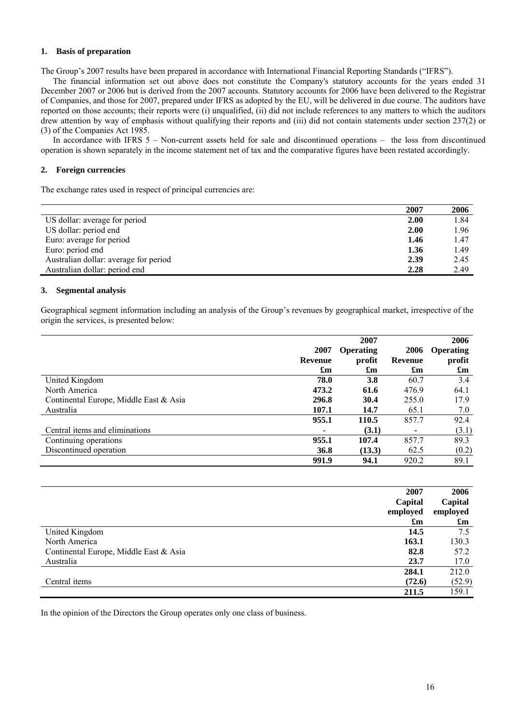#### **1. Basis of preparation**

The Group's 2007 results have been prepared in accordance with International Financial Reporting Standards ("IFRS").

The financial information set out above does not constitute the Company's statutory accounts for the years ended 31 December 2007 or 2006 but is derived from the 2007 accounts. Statutory accounts for 2006 have been delivered to the Registrar of Companies, and those for 2007, prepared under IFRS as adopted by the EU, will be delivered in due course. The auditors have reported on those accounts; their reports were (i) unqualified, (ii) did not include references to any matters to which the auditors drew attention by way of emphasis without qualifying their reports and (iii) did not contain statements under section 237(2) or (3) of the Companies Act 1985.

In accordance with IFRS 5 – Non-current assets held for sale and discontinued operations – the loss from discontinued operation is shown separately in the income statement net of tax and the comparative figures have been restated accordingly.

#### **2. Foreign currencies**

The exchange rates used in respect of principal currencies are:

|                                       | 2007 | 2006 |
|---------------------------------------|------|------|
| US dollar: average for period         | 2.00 | 1.84 |
| US dollar: period end                 | 2.00 | 1.96 |
| Euro: average for period              | 1.46 | 1.47 |
| Euro: period end                      | 1.36 | 1.49 |
| Australian dollar: average for period | 2.39 | 2.45 |
| Australian dollar: period end         | 2.28 | 2.49 |

#### **3. Segmental analysis**

Geographical segment information including an analysis of the Group's revenues by geographical market, irrespective of the origin the services, is presented below:

|                                        |                           | 2007             |                           | 2006                      |
|----------------------------------------|---------------------------|------------------|---------------------------|---------------------------|
|                                        | 2007                      | <b>Operating</b> | 2006                      | <b>Operating</b>          |
|                                        | Revenue                   | profit           | Revenue                   | profit                    |
|                                        | $\mathbf{f}_{\mathbf{m}}$ | £m               | $\mathbf{f}_{\mathbf{m}}$ | $\mathbf{f}_{\mathbf{m}}$ |
| United Kingdom                         | 78.0                      | <b>3.8</b>       | 60.7                      | 3.4                       |
| North America                          | 473.2                     | 61.6             | 476.9                     | 64.1                      |
| Continental Europe, Middle East & Asia | 296.8                     | 30.4             | 255.0                     | 17.9                      |
| Australia                              | 107.1                     | 14.7             | 65.1                      | 7.0                       |
|                                        | 955.1                     | 110.5            | 857.7                     | 92.4                      |
| Central items and eliminations         |                           | (3.1)            |                           | (3.1)                     |
| Continuing operations                  | 955.1                     | 107.4            | 857.7                     | 89.3                      |
| Discontinued operation                 | 36.8                      | (13.3)           | 62.5                      | (0.2)                     |
|                                        | 991.9                     | 94.1             | 920.2                     | 89.1                      |

| Capital<br>employed                    | 2007<br>$\mathbf{f}_{\mathbf{m}}$ | 2006<br>Capital<br>employed<br>$\mathbf{f}_{\mathbf{m}}$ |
|----------------------------------------|-----------------------------------|----------------------------------------------------------|
| United Kingdom                         | 14.5                              | 7.5                                                      |
| North America                          | 163.1                             | 130.3                                                    |
| Continental Europe, Middle East & Asia | 82.8                              | 57.2                                                     |
| Australia                              | 23.7                              | 17.0                                                     |
|                                        | 284.1                             | 212.0                                                    |
| Central items                          | (72.6)                            | (52.9)                                                   |
|                                        | 211.5                             | 159.1                                                    |

In the opinion of the Directors the Group operates only one class of business.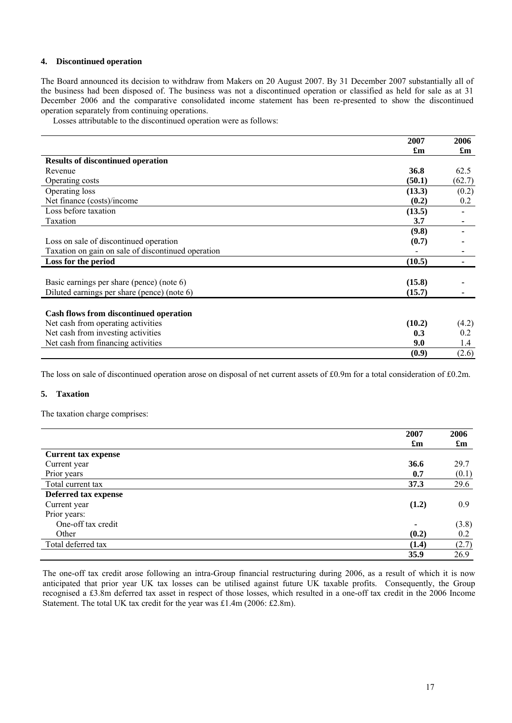#### **4. Discontinued operation**

The Board announced its decision to withdraw from Makers on 20 August 2007. By 31 December 2007 substantially all of the business had been disposed of. The business was not a discontinued operation or classified as held for sale as at 31 December 2006 and the comparative consolidated income statement has been re-presented to show the discontinued operation separately from continuing operations.

Losses attributable to the discontinued operation were as follows:

|                                                    | 2007                      | 2006                      |
|----------------------------------------------------|---------------------------|---------------------------|
|                                                    | $\mathbf{f}_{\mathbf{m}}$ | $\mathbf{f}_{\mathbf{m}}$ |
| <b>Results of discontinued operation</b>           |                           |                           |
| Revenue                                            | 36.8                      | 62.5                      |
| Operating costs                                    | (50.1)                    | (62.7)                    |
| Operating loss                                     | (13.3)                    | (0.2)                     |
| Net finance (costs)/income                         | (0.2)                     | 0.2                       |
| Loss before taxation                               | (13.5)                    | ۰                         |
| Taxation                                           | 3.7                       |                           |
|                                                    | (9.8)                     |                           |
| Loss on sale of discontinued operation             | (0.7)                     |                           |
| Taxation on gain on sale of discontinued operation |                           |                           |
| Loss for the period                                | (10.5)                    |                           |
|                                                    |                           |                           |
| Basic earnings per share (pence) (note 6)          | (15.8)                    |                           |
| Diluted earnings per share (pence) (note 6)        | (15.7)                    |                           |
|                                                    |                           |                           |
| Cash flows from discontinued operation             |                           |                           |
| Net cash from operating activities                 | (10.2)                    | (4.2)                     |
| Net cash from investing activities                 | 0.3                       | 0.2                       |
| Net cash from financing activities                 | 9.0                       | 1.4                       |
|                                                    | (0.9)                     | (2.6)                     |

The loss on sale of discontinued operation arose on disposal of net current assets of £0.9m for a total consideration of £0.2m.

#### **5. Taxation**

The taxation charge comprises:

|                            | 2007                      | 2006<br>$\mathbf{f}_{\mathbf{m}}$ |
|----------------------------|---------------------------|-----------------------------------|
|                            | $\mathbf{f}_{\mathbf{m}}$ |                                   |
| <b>Current tax expense</b> |                           |                                   |
| Current year               | 36.6                      | 29.7                              |
| Prior years                | 0.7                       | (0.1)                             |
| Total current tax          | 37.3                      | 29.6                              |
| Deferred tax expense       |                           |                                   |
| Current year               | (1.2)                     | 0.9                               |
| Prior years:               |                           |                                   |
| One-off tax credit         | ٠                         | (3.8)                             |
| Other                      | (0.2)                     | 0.2                               |
| Total deferred tax         | (1.4)                     | (2.7)                             |
|                            | 35.9                      | 26.9                              |

The one-off tax credit arose following an intra-Group financial restructuring during 2006, as a result of which it is now anticipated that prior year UK tax losses can be utilised against future UK taxable profits. Consequently, the Group recognised a £3.8m deferred tax asset in respect of those losses, which resulted in a one-off tax credit in the 2006 Income Statement. The total UK tax credit for the year was £1.4m (2006: £2.8m).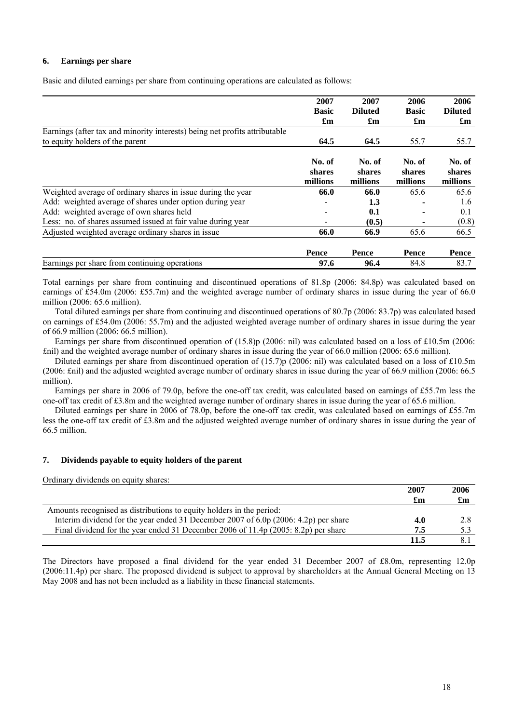#### **6. Earnings per share**

Basic and diluted earnings per share from continuing operations are calculated as follows:

|                                                                                                               | 2007<br><b>Basic</b><br>$\mathbf{f}_{\mathbf{m}}$ | 2007<br><b>Diluted</b><br>$\mathbf{f}_{\mathbf{m}}$ | 2006<br><b>Basic</b><br>£m   | 2006<br><b>Diluted</b><br>$\mathbf{f}_{\mathbf{m}}$ |
|---------------------------------------------------------------------------------------------------------------|---------------------------------------------------|-----------------------------------------------------|------------------------------|-----------------------------------------------------|
| Earnings (after tax and minority interests) being net profits attributable<br>to equity holders of the parent | 64.5                                              | 64.5                                                | 55.7                         | 55.7                                                |
|                                                                                                               | No. of<br>shares<br>millions                      | No. of<br>shares<br>millions                        | No. of<br>shares<br>millions | No. of<br>shares<br>millions                        |
| Weighted average of ordinary shares in issue during the year                                                  | 66.0                                              | 66.0                                                | 65.6                         | 65.6                                                |
| Add: weighted average of shares under option during year                                                      |                                                   | 1.3                                                 |                              | 1.6                                                 |
| Add: weighted average of own shares held                                                                      |                                                   | 0.1                                                 |                              | 0.1                                                 |
| Less: no. of shares assumed issued at fair value during year                                                  |                                                   | (0.5)                                               |                              | (0.8)                                               |
| Adjusted weighted average ordinary shares in issue                                                            | 66.0                                              | 66.9                                                | 65.6                         | 66.5                                                |
|                                                                                                               | Pence                                             | Pence                                               | Pence                        | Pence                                               |
| Earnings per share from continuing operations                                                                 | 97.6                                              | 96.4                                                | 84.8                         | 83.7                                                |

Total earnings per share from continuing and discontinued operations of 81.8p (2006: 84.8p) was calculated based on earnings of £54.0m (2006: £55.7m) and the weighted average number of ordinary shares in issue during the year of 66.0 million (2006: 65.6 million).

Total diluted earnings per share from continuing and discontinued operations of 80.7p (2006: 83.7p) was calculated based on earnings of £54.0m (2006: 55.7m) and the adjusted weighted average number of ordinary shares in issue during the year of 66.9 million (2006: 66.5 million).

Earnings per share from discontinued operation of (15.8)p (2006: nil) was calculated based on a loss of £10.5m (2006: £nil) and the weighted average number of ordinary shares in issue during the year of 66.0 million (2006: 65.6 million).

Diluted earnings per share from discontinued operation of (15.7)p (2006: nil) was calculated based on a loss of £10.5m (2006: £nil) and the adjusted weighted average number of ordinary shares in issue during the year of 66.9 million (2006: 66.5 million).

Earnings per share in 2006 of 79.0p, before the one-off tax credit, was calculated based on earnings of £55.7m less the one-off tax credit of £3.8m and the weighted average number of ordinary shares in issue during the year of 65.6 million.

Diluted earnings per share in 2006 of 78.0p, before the one-off tax credit, was calculated based on earnings of £55.7m less the one-off tax credit of £3.8m and the adjusted weighted average number of ordinary shares in issue during the year of 66.5 million.

#### **7. Dividends payable to equity holders of the parent**

|                                                                                       | 2007 | 2006                      |
|---------------------------------------------------------------------------------------|------|---------------------------|
|                                                                                       | £m   | $\mathbf{f}_{\mathbf{m}}$ |
| Amounts recognised as distributions to equity holders in the period:                  |      |                           |
| Interim dividend for the year ended 31 December 2007 of $6.0p$ (2006: 4.2p) per share | 4.0  | 2.8                       |
| Final dividend for the year ended 31 December 2006 of 11.4p (2005: 8.2p) per share    | 7.5  |                           |
|                                                                                       | 11.5 |                           |

The Directors have proposed a final dividend for the year ended 31 December 2007 of £8.0m, representing 12.0p (2006:11.4p) per share. The proposed dividend is subject to approval by shareholders at the Annual General Meeting on 13 May 2008 and has not been included as a liability in these financial statements.